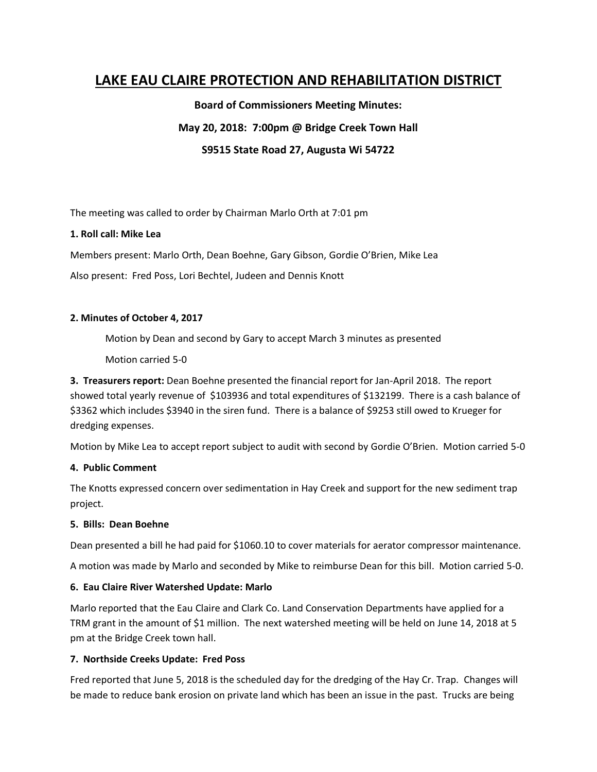# **LAKE EAU CLAIRE PROTECTION AND REHABILITATION DISTRICT**

**Board of Commissioners Meeting Minutes: May 20, 2018: 7:00pm @ Bridge Creek Town Hall S9515 State Road 27, Augusta Wi 54722**

The meeting was called to order by Chairman Marlo Orth at 7:01 pm

# **1. Roll call: Mike Lea**

Members present: Marlo Orth, Dean Boehne, Gary Gibson, Gordie O'Brien, Mike Lea

Also present: Fred Poss, Lori Bechtel, Judeen and Dennis Knott

# **2. Minutes of October 4, 2017**

Motion by Dean and second by Gary to accept March 3 minutes as presented

Motion carried 5-0

**3. Treasurers report:** Dean Boehne presented the financial report for Jan-April 2018. The report showed total yearly revenue of \$103936 and total expenditures of \$132199. There is a cash balance of \$3362 which includes \$3940 in the siren fund. There is a balance of \$9253 still owed to Krueger for dredging expenses.

Motion by Mike Lea to accept report subject to audit with second by Gordie O'Brien. Motion carried 5-0

# **4. Public Comment**

The Knotts expressed concern over sedimentation in Hay Creek and support for the new sediment trap project.

#### **5. Bills: Dean Boehne**

Dean presented a bill he had paid for \$1060.10 to cover materials for aerator compressor maintenance.

A motion was made by Marlo and seconded by Mike to reimburse Dean for this bill. Motion carried 5-0.

# **6. Eau Claire River Watershed Update: Marlo**

Marlo reported that the Eau Claire and Clark Co. Land Conservation Departments have applied for a TRM grant in the amount of \$1 million. The next watershed meeting will be held on June 14, 2018 at 5 pm at the Bridge Creek town hall.

# **7. Northside Creeks Update: Fred Poss**

Fred reported that June 5, 2018 is the scheduled day for the dredging of the Hay Cr. Trap. Changes will be made to reduce bank erosion on private land which has been an issue in the past. Trucks are being